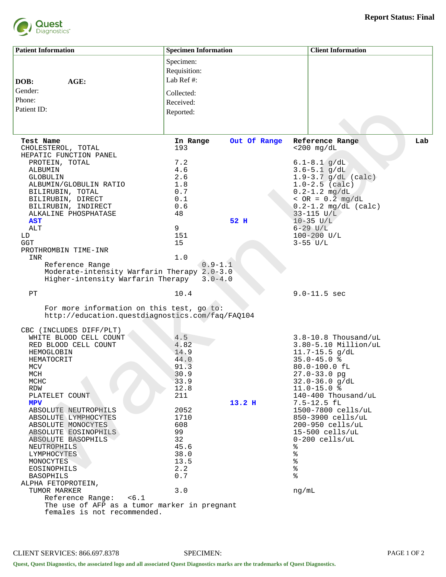

| <b>Patient Information</b>                       | <b>Specimen Information</b> |                   | <b>Client Information</b>                  |  |  |
|--------------------------------------------------|-----------------------------|-------------------|--------------------------------------------|--|--|
|                                                  | Specimen:                   |                   |                                            |  |  |
|                                                  |                             |                   |                                            |  |  |
|                                                  | Requisition:                |                   |                                            |  |  |
| AGE:<br>DOB:                                     | Lab Ref#:                   |                   |                                            |  |  |
| Gender:                                          | Collected:                  |                   |                                            |  |  |
| Phone:                                           |                             |                   |                                            |  |  |
|                                                  | Received:                   |                   |                                            |  |  |
| Patient ID:                                      | Reported:                   |                   |                                            |  |  |
|                                                  |                             |                   |                                            |  |  |
|                                                  |                             |                   |                                            |  |  |
| Test Name                                        | In Range                    | Out Of Range      | Reference Range<br>Lab                     |  |  |
| CHOLESTEROL, TOTAL                               | 193                         |                   | $<$ 200 mg/dL                              |  |  |
| HEPATIC FUNCTION PANEL                           |                             |                   |                                            |  |  |
| PROTEIN, TOTAL                                   | 7.2                         |                   | $6.1 - 8.1$ g/dL                           |  |  |
| ALBUMIN                                          | 4.6                         |                   | $3.6 - 5.1$ g/dL                           |  |  |
| <b>GLOBULIN</b>                                  | 2.6                         |                   | $1.9 - 3.7$ g/dL (calc)                    |  |  |
| ALBUMIN/GLOBULIN RATIO                           | 1.8                         |                   | $1.0 - 2.5$ (calc)                         |  |  |
| BILIRUBIN, TOTAL                                 | 0.7                         |                   | $0.2 - 1.2$ mg/dL                          |  |  |
| BILIRUBIN, DIRECT                                | 0.1                         |                   | $~ <$ OR = 0.2 mg/dL                       |  |  |
| BILIRUBIN, INDIRECT<br>ALKALINE PHOSPHATASE      | 0.6<br>48                   |                   | $0.2 - 1.2$ mg/dL (calc)<br>$33 - 115$ U/L |  |  |
| <b>AST</b>                                       |                             | 52 H              | $10 - 35$ U/L                              |  |  |
| ALT                                              | 9                           |                   | $6 - 29$ $U/L$                             |  |  |
| LD                                               | 151                         |                   | $100 - 200$ U/L                            |  |  |
| <b>GGT</b>                                       | 15                          |                   | $3 - 55$ $U/L$                             |  |  |
| PROTHROMBIN TIME-INR                             |                             |                   |                                            |  |  |
| INR                                              | 1.0                         |                   |                                            |  |  |
| Reference Range                                  | $0.9 - 1.1$                 |                   |                                            |  |  |
| Moderate-intensity Warfarin Therapy 2.0-3.0      |                             |                   |                                            |  |  |
| Higher-intensity Warfarin Therapy                | $3.0 - 4.0$                 |                   |                                            |  |  |
| PT                                               | 10.4                        |                   | $9.0 - 11.5$ sec                           |  |  |
| For more information on this test, go to:        |                             |                   |                                            |  |  |
| http://education.questdiagnostics.com/faq/FAQ104 |                             |                   |                                            |  |  |
| CBC (INCLUDES DIFF/PLT)                          |                             |                   |                                            |  |  |
| WHITE BLOOD CELL COUNT                           | 4.5                         |                   | $3.8 - 10.8$ Thousand/uL                   |  |  |
| RED BLOOD CELL COUNT                             | 4.82                        |                   | $3.80 - 5.10$ Million/uL                   |  |  |
| HEMOGLOBIN                                       | 14.9                        |                   | $11.7 - 15.5$ g/dL                         |  |  |
| HEMATOCRIT                                       | 44.0                        |                   | $35.0 - 45.0$ %                            |  |  |
| MCV                                              | 91.3                        |                   | $80.0 - 100.0$ fl                          |  |  |
| MCH                                              | 30.9                        |                   | 27.0-33.0 pg                               |  |  |
| MCHC                                             | 33.9                        |                   | $32.0 - 36.0$ q/dL                         |  |  |
| RDW                                              | 12.8                        |                   | $11.0 - 15.0$ %                            |  |  |
| PLATELET COUNT                                   | 211                         |                   | 140-400 Thousand/uL                        |  |  |
| MPV                                              |                             | 13.2 <sub>H</sub> | $7.5 - 12.5$ fL                            |  |  |
| ABSOLUTE NEUTROPHILS                             | 2052                        |                   | 1500-7800 cells/uL                         |  |  |
| ABSOLUTE LYMPHOCYTES                             | 1710<br>608                 |                   | 850-3900 cells/uL<br>200-950 cells/uL      |  |  |
| ABSOLUTE MONOCYTES<br>ABSOLUTE EOSINOPHILS       | 99                          |                   | $15-500$ cells/uL                          |  |  |
| ABSOLUTE BASOPHILS                               | 32                          |                   | $0-200$ cells/uL                           |  |  |
| NEUTROPHILS                                      | 45.6                        |                   | ႜ                                          |  |  |
| LYMPHOCYTES                                      | 38.0                        |                   | ್ಠಿ                                        |  |  |
| MONOCYTES                                        | 13.5                        |                   | $\frac{8}{6}$                              |  |  |
| EOSINOPHILS                                      | 2.2                         |                   | $\,$ $\,$                                  |  |  |
| <b>BASOPHILS</b>                                 | 0.7                         |                   | ిక                                         |  |  |
| ALPHA FETOPROTEIN,                               |                             |                   |                                            |  |  |
| TUMOR MARKER                                     | 3.0                         |                   | ng/mL                                      |  |  |
| Reference Range: <6.1                            |                             |                   |                                            |  |  |
| The use of AFP as a tumor marker in pregnant     |                             |                   |                                            |  |  |
| females is not recommended.                      |                             |                   |                                            |  |  |
|                                                  |                             |                   |                                            |  |  |